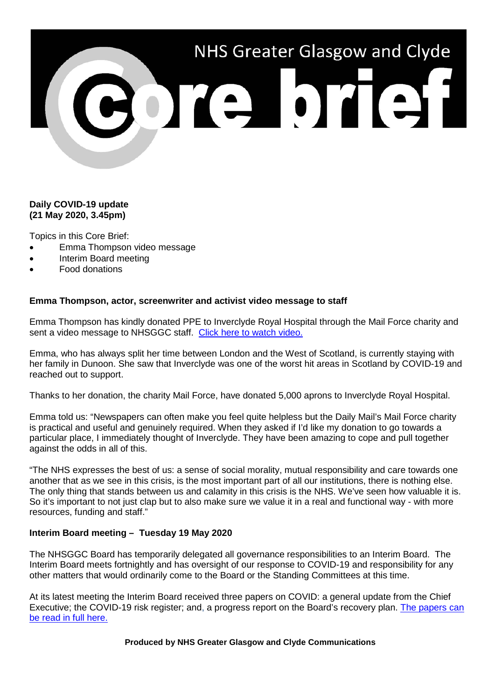

## **Daily COVID-19 update (21 May 2020, 3.45pm)**

Topics in this Core Brief:

- Emma Thompson video message
- Interim Board meeting
- Food donations

#### **Emma Thompson, actor, screenwriter and activist video message to staff**

Emma Thompson has kindly donated PPE to Inverclyde Royal Hospital through the Mail Force charity and sent a video message to NHSGGC staff. [Click here to watch video.](https://www.youtube.com/watch?v=-LB91vHgCdM&feature=youtu.be)

Emma, who has always split her time between London and the West of Scotland, is currently staying with her family in Dunoon. She saw that Inverclyde was one of the worst hit areas in Scotland by COVID-19 and reached out to support.

Thanks to her donation, the charity Mail Force, have donated 5,000 aprons to Inverclyde Royal Hospital.

Emma told us: "Newspapers can often make you feel quite helpless but the Daily Mail's Mail Force charity is practical and useful and genuinely required. When they asked if I'd like my donation to go towards a particular place, I immediately thought of Inverclyde. They have been amazing to cope and pull together against the odds in all of this.

"The NHS expresses the best of us: a sense of social morality, mutual responsibility and care towards one another that as we see in this crisis, is the most important part of all our institutions, there is nothing else. The only thing that stands between us and calamity in this crisis is the NHS. We've seen how valuable it is. So it's important to not just clap but to also make sure we value it in a real and functional way - with more resources, funding and staff."

### **Interim Board meeting – Tuesday 19 May 2020**

The NHSGGC Board has temporarily delegated all governance responsibilities to an Interim Board. The Interim Board meets fortnightly and has oversight of our response to COVID-19 and responsibility for any other matters that would ordinarily come to the Board or the Standing Committees at this time.

At its latest meeting the Interim Board received three papers on COVID: a general update from the Chief Executive; the COVID-19 risk register; and, a progress report on the Board's recovery plan. [The papers can](https://www.nhsggc.org.uk/about-us/nhsggc-board/board-meetings-papers-reports/interim-board-meetings/papers/)  [be read in full here.](https://www.nhsggc.org.uk/about-us/nhsggc-board/board-meetings-papers-reports/interim-board-meetings/papers/)

**Produced by NHS Greater Glasgow and Clyde Communications**